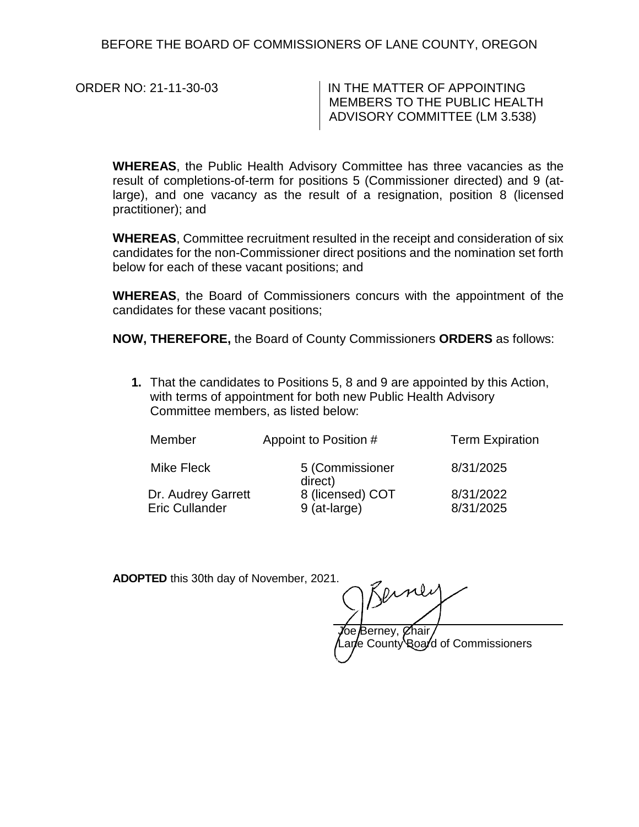BEFORE THE BOARD OF COMMISSIONERS OF LANE COUNTY, OREGON

ORDER NO: 21-11-30-03 | IN THE MATTER OF APPOINTING MEMBERS TO THE PUBLIC HEALTH ADVISORY COMMITTEE (LM 3.538)

**WHEREAS**, the Public Health Advisory Committee has three vacancies as the result of completions-of-term for positions 5 (Commissioner directed) and 9 (atlarge), and one vacancy as the result of a resignation, position 8 (licensed practitioner); and

**WHEREAS**, Committee recruitment resulted in the receipt and consideration of six candidates for the non-Commissioner direct positions and the nomination set forth below for each of these vacant positions; and

**WHEREAS**, the Board of Commissioners concurs with the appointment of the candidates for these vacant positions;

**NOW, THEREFORE,** the Board of County Commissioners **ORDERS** as follows:

**1.** That the candidates to Positions 5, 8 and 9 are appointed by this Action, with terms of appointment for both new Public Health Advisory Committee members, as listed below:

| Member                                      | Appoint to Position #            | <b>Term Expiration</b> |
|---------------------------------------------|----------------------------------|------------------------|
| Mike Fleck                                  | 5 (Commissioner<br>direct)       | 8/31/2025              |
| Dr. Audrey Garrett<br><b>Eric Cullander</b> | 8 (licensed) COT<br>9 (at-large) | 8/31/2022<br>8/31/2025 |

**ADOPTED** this 30th day of November, 2021.

*J***oe B**erney, Øhair ane County Board of Commissioners